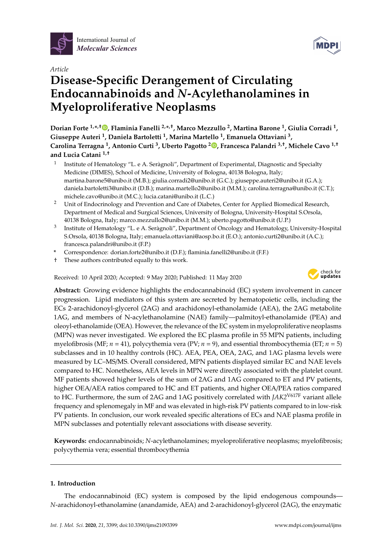



# **Disease-Specific Derangement of Circulating Endocannabinoids and** *N***-Acylethanolamines in Myeloproliferative Neoplasms**

**Dorian Forte 1,\* ,**† **[,](https://orcid.org/0000-0002-8443-605X) Flaminia Fanelli 2,\* ,**† **, Marco Mezzullo <sup>2</sup> , Martina Barone <sup>1</sup> , Giulia Corradi <sup>1</sup> , Giuseppe Auteri <sup>1</sup> , Daniela Bartoletti <sup>1</sup> , Marina Martello <sup>1</sup> , Emanuela Ottaviani <sup>3</sup> , Carolina Terragna <sup>1</sup> , Antonio Curti <sup>3</sup> , Uberto Pagotto <sup>2</sup> [,](https://orcid.org/0000-0003-4182-3110) Francesca Palandri 3,**† **, Michele Cavo 1,**† **and Lucia Catani 1,**†

- 1 Institute of Hematology "L. e A. Seràgnoli", Department of Experimental, Diagnostic and Specialty Medicine (DIMES), School of Medicine, University of Bologna, 40138 Bologna, Italy; martina.barone5@unibo.it (M.B.); giulia.corradi2@unibo.it (G.C.); giuseppe.auteri2@unibo.it (G.A.); daniela.bartoletti3@unibo.it (D.B.); marina.martello2@unibo.it (M.M.); carolina.terragna@unibo.it (C.T.); michele.cavo@unibo.it (M.C.); lucia.catani@unibo.it (L.C.)
- <sup>2</sup> Unit of Endocrinology and Prevention and Care of Diabetes, Center for Applied Biomedical Research, Department of Medical and Surgical Sciences, University of Bologna, University-Hospital S.Orsola, 40138 Bologna, Italy; marco.mezzullo2@unibo.it (M.M.); uberto.pagotto@unibo.it (U.P.)
- 3 Institute of Hematology "L. e A. Seràgnoli", Department of Oncology and Hematology, University-Hospital S.Orsola, 40138 Bologna, Italy; emanuela.ottaviani@aosp.bo.it (E.O.); antonio.curti2@unibo.it (A.C.); francesca.palandri@unibo.it (F.P.)
- **\*** Correspondence: dorian.forte2@unibo.it (D.F.); flaminia.fanelli2@unibo.it (F.F.)
- † These authors contributed equally to this work.

Received: 10 April 2020; Accepted: 9 May 2020; Published: 11 May 2020



**Abstract:** Growing evidence highlights the endocannabinoid (EC) system involvement in cancer progression. Lipid mediators of this system are secreted by hematopoietic cells, including the ECs 2-arachidonoyl-glycerol (2AG) and arachidonoyl-ethanolamide (AEA), the 2AG metabolite 1AG, and members of N-acylethanolamine (NAE) family—palmitoyl-ethanolamide (PEA) and oleoyl-ethanolamide (OEA). However, the relevance of the EC system in myeloproliferative neoplasms (MPN) was never investigated. We explored the EC plasma profile in 55 MPN patients, including myelofibrosis (MF; *n* = 41), polycythemia vera (PV; *n* = 9), and essential thrombocythemia (ET; *n* = 5) subclasses and in 10 healthy controls (HC). AEA, PEA, OEA, 2AG, and 1AG plasma levels were measured by LC–MS/MS. Overall considered, MPN patients displayed similar EC and NAE levels compared to HC. Nonetheless, AEA levels in MPN were directly associated with the platelet count. MF patients showed higher levels of the sum of 2AG and 1AG compared to ET and PV patients, higher OEA/AEA ratios compared to HC and ET patients, and higher OEA/PEA ratios compared to HC. Furthermore, the sum of 2AG and 1AG positively correlated with *JAK2*V617F variant allele frequency and splenomegaly in MF and was elevated in high-risk PV patients compared to in low-risk PV patients. In conclusion, our work revealed specific alterations of ECs and NAE plasma profile in MPN subclasses and potentially relevant associations with disease severity.

**Keywords:** endocannabinoids; *N*-acylethanolamines; myeloproliferative neoplasms; myelofibrosis; polycythemia vera; essential thrombocythemia

# **1. Introduction**

The endocannabinoid (EC) system is composed by the lipid endogenous compounds— *N*-arachidonoyl-ethanolamine (anandamide, AEA) and 2-arachidonoyl-glycerol (2AG), the enzymatic

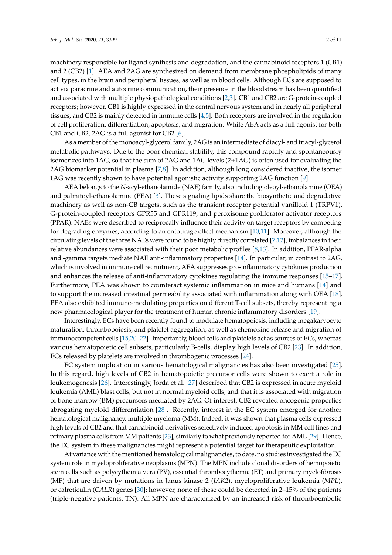machinery responsible for ligand synthesis and degradation, and the cannabinoid receptors 1 (CB1) and 2 (CB2) [\[1\]](#page-7-0). AEA and 2AG are synthesized on demand from membrane phospholipids of many cell types, in the brain and peripheral tissues, as well as in blood cells. Although ECs are supposed to act via paracrine and autocrine communication, their presence in the bloodstream has been quantified and associated with multiple physiopathological conditions [\[2,](#page-7-1)[3\]](#page-7-2). CB1 and CB2 are G-protein-coupled receptors; however, CB1 is highly expressed in the central nervous system and in nearly all peripheral tissues, and CB2 is mainly detected in immune cells [\[4,](#page-8-0)[5\]](#page-8-1). Both receptors are involved in the regulation of cell proliferation, differentiation, apoptosis, and migration. While AEA acts as a full agonist for both CB1 and CB2, 2AG is a full agonist for CB2 [\[6\]](#page-8-2).

As a member of the monoacyl-glycerol family, 2AG is an intermediate of diacyl- and triacyl-glycerol metabolic pathways. Due to the poor chemical stability, this compound rapidly and spontaneously isomerizes into 1AG, so that the sum of 2AG and 1AG levels (2+1AG) is often used for evaluating the 2AG biomarker potential in plasma [\[7,](#page-8-3)[8\]](#page-8-4). In addition, although long considered inactive, the isomer 1AG was recently shown to have potential agonistic activity supporting 2AG function [\[9\]](#page-8-5).

AEA belongs to the *N*-acyl-ethanolamide (NAE) family, also including oleoyl-ethanolamine (OEA) and palmitoyl-ethanolamine (PEA) [\[3\]](#page-7-2). These signaling lipids share the biosynthetic and degradative machinery as well as non-CB targets, such as the transient receptor potential vanilloid 1 (TRPV1), G-protein-coupled receptors GPR55 and GPR119, and peroxisome proliferator activator receptors (PPAR). NAEs were described to reciprocally influence their activity on target receptors by competing for degrading enzymes, according to an entourage effect mechanism [\[10](#page-8-6)[,11\]](#page-8-7). Moreover, although the circulating levels of the three NAEs were found to be highly directly correlated [\[7](#page-8-3)[,12\]](#page-8-8), imbalances in their relative abundances were associated with their poor metabolic profiles [\[8,](#page-8-4)[13\]](#page-8-9). In addition, PPAR-alpha and -gamma targets mediate NAE anti-inflammatory properties [\[14\]](#page-8-10). In particular, in contrast to 2AG, which is involved in immune cell recruitment, AEA suppresses pro-inflammatory cytokines production and enhances the release of anti-inflammatory cytokines regulating the immune responses [\[15–](#page-8-11)[17\]](#page-8-12). Furthermore, PEA was shown to counteract systemic inflammation in mice and humans [\[14\]](#page-8-10) and to support the increased intestinal permeability associated with inflammation along with OEA [\[18\]](#page-8-13). PEA also exhibited immune-modulating properties on different T-cell subsets, thereby representing a new pharmacological player for the treatment of human chronic inflammatory disorders [\[19\]](#page-8-14).

Interestingly, ECs have been recently found to modulate hematopoiesis, including megakaryocyte maturation, thrombopoiesis, and platelet aggregation, as well as chemokine release and migration of immunocompetent cells [\[15](#page-8-11)[,20](#page-8-15)[–22\]](#page-8-16). Importantly, blood cells and platelets act as sources of ECs, whereas various hematopoietic cell subsets, particularly B-cells, display high levels of CB2 [\[23\]](#page-8-17). In addition, ECs released by platelets are involved in thrombogenic processes [\[24\]](#page-8-18).

EC system implication in various hematological malignancies has also been investigated [\[25\]](#page-8-19). In this regard, high levels of CB2 in hematopoietic precursor cells were shown to exert a role in leukemogenesis [\[26\]](#page-9-0). Interestingly, Jorda et al. [\[27\]](#page-9-1) described that CB2 is expressed in acute myeloid leukemia (AML) blast cells, but not in normal myeloid cells, and that it is associated with migration of bone marrow (BM) precursors mediated by 2AG. Of interest, CB2 revealed oncogenic properties abrogating myeloid differentiation [\[28\]](#page-9-2). Recently, interest in the EC system emerged for another hematological malignancy, multiple myeloma (MM). Indeed, it was shown that plasma cells expressed high levels of CB2 and that cannabinoid derivatives selectively induced apoptosis in MM cell lines and primary plasma cells from MM patients [\[23\]](#page-8-17), similarly to what previously reported for AML [\[29\]](#page-9-3). Hence, the EC system in these malignancies might represent a potential target for therapeutic exploitation.

At variance with the mentioned hematological malignancies, to date, no studies investigated the EC system role in myeloproliferative neoplasms (MPN). The MPN include clonal disorders of hemopoietic stem cells such as polycythemia vera (PV), essential thrombocythemia (ET) and primary myelofibrosis (MF) that are driven by mutations in Janus kinase 2 (*JAK2*), myeloproliferative leukemia (*MPL*), or calreticulin (*CALR*) genes [\[30\]](#page-9-4); however, none of these could be detected in 2–15% of the patients (triple-negative patients, TN). All MPN are characterized by an increased risk of thromboembolic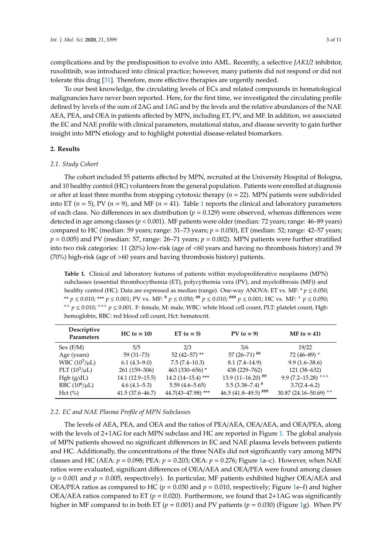complications and by the predisposition to evolve into AML. Recently, a selective *JAK1*/*2* inhibitor, ruxolitinib, was introduced into clinical practice; however, many patients did not respond or did not tolerate this drug [\[31\]](#page-9-5). Therefore, more effective therapies are urgently needed.

To our best knowledge, the circulating levels of ECs and related compounds in hematological malignancies have never been reported. Here, for the first time, we investigated the circulating profile defined by levels of the sum of 2AG and 1AG and by the levels and the relative abundances of the NAE AEA, PEA, and OEA in patients affected by MPN, including ET, PV, and MF. In addition, we associated the EC and NAE profile with clinical parameters, mutational status, and disease severity to gain further insight into MPN etiology and to highlight potential disease-related biomarkers.

# **2. Results**

## *2.1. Study Cohort*

The cohort included 55 patients affected by MPN, recruited at the University Hospital of Bologna, and 10 healthy control (HC) volunteers from the general population. Patients were enrolled at diagnosis or after at least three months from stopping cytotoxic therapy (*n* = 22). MPN patients were subdivided into ET ( $n = 5$ ), PV ( $n = 9$ ), and MF ( $n = 41$  $n = 41$ ). Table 1 reports the clinical and laboratory parameters of each class. No differences in sex distribution  $(p = 0.129)$  were observed, whereas differences were detected in age among classes (*p* < 0.001). MF patients were older (median: 72 years; range: 46–89 years) compared to HC (median: 59 years; range: 31–73 years; *p* = 0.030), ET (median: 52; range: 42–57 years; *p* = 0.005) and PV (median: 57, range: 26–71 years; *p* = 0.002). MPN patients were further stratified into two risk categories: 11 (20%) low-risk (age of <60 years and having no thrombosis history) and 39 (70%) high-risk (age of >60 years and having thrombosis history) patients.

<span id="page-2-0"></span>**Table 1.** Clinical and laboratory features of patients within myeloproliferative neoplasms (MPN) subclasses (essential thrombocythemia (ET), polycythemia vera (PV), and myelofibrosis (MF)) and healthy control (HC). Data are expressed as median (range). One-way ANOVA: ET vs. MF: \* *p* ≤ 0.050; \*\* *p* ≤ 0.010; \*\*\* *p* ≤ 0.001; PV vs. MF: # *p* ≤ 0.050; ## *p* ≤ 0.010; ### *p* ≤ 0.001; HC vs. MF: <sup>+</sup> *p* ≤ 0.050; ++ *p* ≤ 0.010; +++ *p* ≤ 0.001. F: female, M: male, WBC: white blood cell count, PLT: platelet count, Hgb: hemoglobin, RBC: red blood cell count, Hct: hematocrit.

| Descriptive<br><b>Parameters</b> | $HC (n = 10)$       | ET $(n = 5)$           | $PV (n = 9)$          | $MF (n = 41)$                        |
|----------------------------------|---------------------|------------------------|-----------------------|--------------------------------------|
| Sex (F/M)                        | 5/5                 | 2/3                    | 3/6                   | 19/22                                |
| Age (years)                      | $59(31-73)$         | 52 (42-57) **          | $57(26-71)$ ##        | 72 (46-89) <sup>+</sup>              |
| WBC $(10^3/\mu L)$               | $6.1(4.3-9.0)$      | $7.5(7.4-10.3)$        | $8.1(7.4-14.9)$       | $9.9(1.6 - 38.6)$                    |
| PLT $(10^3/\mu L)$               | 261 (159-306)       | 463 (330-656) *        | 438 (229-762)         | 121 (38–632)                         |
| Hgb (g/dL)                       | $14.1(12.9-15.5)$   | $14.2 (14 - 15.4)$ *** | $13.9(11-16.20)$ ##   | $9.9(7.2 - 15.28)$ <sup>+++</sup>    |
| RBC $(10^6/\mu L)$               | $4.6(4.1-5.3)$      | $5.59(4.6 - 5.65)$     | $5.5(3.38 - 7.4)^{#}$ | $3.7(2.4 - 6.2)$                     |
| Hct (%)                          | $41.5(37.6 - 46.7)$ | 44.7(43-47.98)***      | $46.5(41.8-49.5)$ ### | $30.87(24.16 - 50.69)$ <sup>++</sup> |

#### *2.2. EC and NAE Plasma Profile of MPN Subclasses*

The levels of AEA, PEA, and OEA and the ratios of PEA/AEA, OEA/AEA, and OEA/PEA, along with the levels of 2+1AG for each MPN subclass and HC are reported in Figure [1.](#page-3-0) The global analysis of MPN patients showed no significant differences in EC and NAE plasma levels between patients and HC. Additionally, the concentrations of the three NAEs did not significantly vary among MPN classes and HC (AEA: *p* = 0.098; PEA: *p* = 0.203; OEA: *p* = 0.276; Figure [1a](#page-3-0)–c). However, when NAE ratios were evaluated, significant differences of OEA/AEA and OEA/PEA were found among classes  $(p = 0.001$  and  $p = 0.005$ , respectively). In particular, MF patients exhibited higher OEA/AEA and OEA/PEA ratios as compared to HC ( $p = 0.030$  and  $p = 0.010$ , respectively; Figure [1e](#page-3-0)–f) and higher OEA/AEA ratios compared to ET ( $p = 0.020$ ). Furthermore, we found that 2+1AG was significantly higher in MF compared to in both ET ( $p = 0.001$ ) and PV patients ( $p = 0.030$ ) (Figure [1g](#page-3-0)). When PV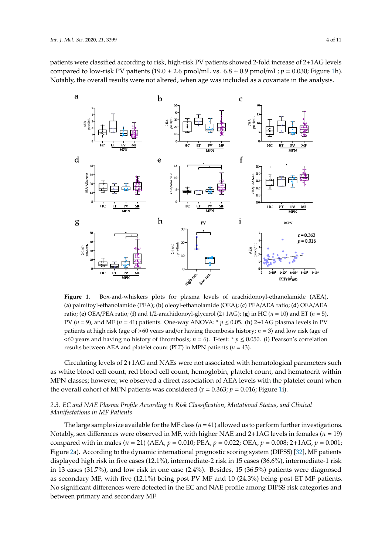patients were classified according to risk, high-risk PV patients showed 2-fold increase of 2+1AG levels compared to low-risk PV patients (19.0  $\pm$  2.6 pmol/mL vs.  $6.8 \pm 0.9$  pmol/mL;  $p = 0.030$ ; Figure [1h](#page-3-0)). Notably, the overall results were not altered, when age was included as a covariate in the analysis.

<span id="page-3-0"></span>

(a) palmitoyl-ethanolamide (PEA); (b) oleoyl-ethanolamide (OEA); (c) PEA/AEA ratio; (d) OEA/AEA ratio; (e) OEA/PEA ratio; (f) and 1/2-arachidonoyl-glycerol (2+1AG); (g) in HC ( $n = 10$ ) and ET ( $n = 5$ ), PV ( $n = 9$ ), and MF ( $n = 41$ ) patients. One-way ANOVA: \*  $p \le 0.05$ . (h) 2+1AG plasma levels in PV patients at high risk (age of >60 years and/or having thrombosis history;  $n = 3$ ) and low risk (age of <60 years and having no history of thrombosis;  $n = 6$ ). T-test: \*  $p \le 0.050$ . (i) Pearson's correlation results between AEA and platelet count (PLT) in MPN patients ( $n = 43$ ). **Figure 1.** Box-and-whiskers plots for plasma levels of arachidonoyl-ethanolamide (AEA),

Circulating levels of 2+1AG and NAEs were not associated with hematological parameters such as white blood cell count, red blood cell count, hemoglobin, platelet count, and hematocrit within MPN classes; however, we observed a direct association of AEA levels with the platelet count when the overall cohort of MPN patients was considered  $(r = 0.363; p = 0.016;$  Figure [1i](#page-3-0)).

# *2.3. EC and NAE Plasma Profile According to Risk Classification, Mutational Status, and Clinical Manifestations in MF Patients*

The large sample size available for the MF class  $(n=41)$  allowed us to perform further investigations. Notably, sex differences were observed in MF, with higher NAE and 2+1AG levels in females (*n* = 19) compared with in males (*n* = 21) (AEA, *p* = 0.010; PEA, *p* = 0.022; OEA, *p* = 0.008; 2+1AG, *p* = 0.001; Figure [2a](#page-4-0)). According to the dynamic international prognostic scoring system (DIPSS) [\[32\]](#page-9-6), MF patients displayed high risk in five cases (12.1%), intermediate-2 risk in 15 cases (36.6%), intermediate-1 risk in 13 cases (31.7%), and low risk in one case (2.4%). Besides, 15 (36.5%) patients were diagnosed as secondary MF, with five (12.1%) being post-PV MF and 10 (24.3%) being post-ET MF patients. No significant differences were detected in the EC and NAE profile among DIPSS risk categories and between primary and secondary MF.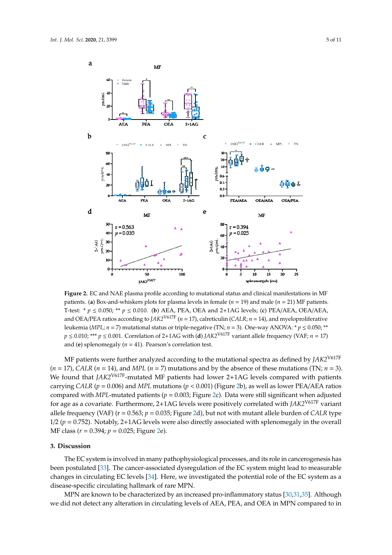<span id="page-4-0"></span>

T-test: \*  $p \le 0.050$ ; \*\*  $p \le 0.010$ . (b) AEA, PEA, OEA and 2+1AG levels; (c) PEA/AEA, OEA/AEA, and OEA/PEA ratios according to  $JAX2^{V617F}$  (*n* = 17), calreticulin (CALR; *n* = 14), and myeloproliferative leukemia (MPL;  $n = 7$ ) mutational status or triple-negative (TN;  $n = 3$ ). One-way ANOVA: \*  $p \le 0.050$ ; \*\*  $p \le 0.010$ ; \*\*\*  $p \le 0.001$ . Correlation of 2+1AG with (d) JAK2<sup>V617F</sup> variant allele frequency (VAF;  $n = 17$ ) **Figure 2.** EC and NAE plasma profile according to mutational status and clinical manifestations in MF patients. (**a**) Box-and-whiskers plots for plasma levels in female (*n* = 19) and male (*n* = 21) MF patients. and (**e**) splenomegaly (*n* = 41). Pearson's correlation test.

MF patients were further analyzed according to the mutational spectra as defined by *JAK2*V617F  $(n = 17)$ , *CALR*  $(n = 14)$ , and *MPL*  $(n = 7)$  mutations and by the absence of these mutations (TN;  $n = 3$ ). We found that *JAK2<sup>V617F</sup>*-mutated MF patients had lower 2+1AG levels compared with patients carrying *CALR* ( $p = 0.006$ ) and *MPL* mutations ( $p < 0.001$ ) (Figure [2b](#page-4-0)), as well as lower PEA/AEA ratios compared with *MPL*-mutated patients ( $p = 0.003$ ; Figure [2c](#page-4-0)). Data were still significant when adjusted for age as a covariate. Furthermore, 2+1AG levels were positively correlated with *JAK2*V617F variant allele frequency (VAF) ( $r = 0.563$ ;  $p = 0.035$ ; Figure [2d](#page-4-0)), but not with mutant allele burden of *CALR* type  $1/2$  ( $p = 0.752$ ). Notably,  $2+1AG$  levels were also directly associated with splenomegaly in the overall MF class (*r* = 0.394; *p* = 0.025; Figure [2e](#page-4-0)).

#### **3. Discussion**

The EC system is involved in many pathophysiological processes, and its role in cancerogenesis has been postulated [\[33\]](#page-9-7). The cancer-associated dysregulation of the EC system might lead to measurable changes in circulating EC levels [\[34\]](#page-9-8). Here, we investigated the potential role of the EC system as a disease-specific circulating hallmark of rare MPN.

MPN are known to be characterized by an increased pro-inflammatory status [\[30,](#page-9-4)[31,](#page-9-5)[35\]](#page-9-9). Although we did not detect any alteration in circulating levels of AEA, PEA, and OEA in MPN compared to in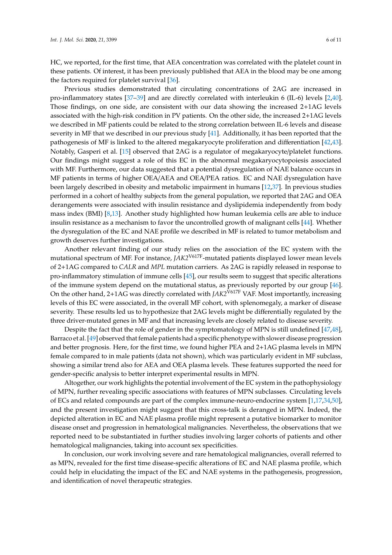HC, we reported, for the first time, that AEA concentration was correlated with the platelet count in these patients. Of interest, it has been previously published that AEA in the blood may be one among the factors required for platelet survival [\[36\]](#page-9-10).

Previous studies demonstrated that circulating concentrations of 2AG are increased in pro-inflammatory states [\[37–](#page-9-11)[39\]](#page-9-12) and are directly correlated with interleukin 6 (IL-6) levels [\[2,](#page-7-1)[40\]](#page-9-13). Those findings, on one side, are consistent with our data showing the increased 2+1AG levels associated with the high-risk condition in PV patients. On the other side, the increased 2+1AG levels we described in MF patients could be related to the strong correlation between IL-6 levels and disease severity in MF that we described in our previous study [\[41\]](#page-9-14). Additionally, it has been reported that the pathogenesis of MF is linked to the altered megakaryocyte proliferation and differentiation [\[42,](#page-9-15)[43\]](#page-9-16). Notably, Gasperi et al. [\[15\]](#page-8-11) observed that 2AG is a regulator of megakaryocyte/platelet functions. Our findings might suggest a role of this EC in the abnormal megakaryocytopoiesis associated with MF. Furthermore, our data suggested that a potential dysregulation of NAE balance occurs in MF patients in terms of higher OEA/AEA and OEA/PEA ratios. EC and NAE dysregulation have been largely described in obesity and metabolic impairment in humans [\[12](#page-8-8)[,37\]](#page-9-11). In previous studies performed in a cohort of healthy subjects from the general population, we reported that 2AG and OEA derangements were associated with insulin resistance and dyslipidemia independently from body mass index (BMI) [\[8](#page-8-4)[,13\]](#page-8-9). Another study highlighted how human leukemia cells are able to induce insulin resistance as a mechanism to favor the uncontrolled growth of malignant cells [\[44\]](#page-9-17). Whether the dysregulation of the EC and NAE profile we described in MF is related to tumor metabolism and growth deserves further investigations.

Another relevant finding of our study relies on the association of the EC system with the mutational spectrum of MF. For instance, *JAK2*V617F-mutated patients displayed lower mean levels of 2+1AG compared to *CALR* and *MPL* mutation carriers. As 2AG is rapidly released in response to pro-inflammatory stimulation of immune cells [\[45\]](#page-9-18), our results seem to suggest that specific alterations of the immune system depend on the mutational status, as previously reported by our group [\[46\]](#page-9-19). On the other hand, 2+1AG was directly correlated with *JAK2<sup>V617F</sup>* VAF. Most importantly, increasing levels of this EC were associated, in the overall MF cohort, with splenomegaly, a marker of disease severity. These results led us to hypothesize that 2AG levels might be differentially regulated by the three driver-mutated genes in MF and that increasing levels are closely related to disease severity.

Despite the fact that the role of gender in the symptomatology of MPN is still undefined [\[47,](#page-9-20)[48\]](#page-10-0), Barraco et al. [\[49\]](#page-10-1) observed that female patients had a specific phenotype with slower disease progression and better prognosis. Here, for the first time, we found higher PEA and 2+1AG plasma levels in MPN female compared to in male patients (data not shown), which was particularly evident in MF subclass, showing a similar trend also for AEA and OEA plasma levels. These features supported the need for gender-specific analysis to better interpret experimental results in MPN.

Altogether, our work highlights the potential involvement of the EC system in the pathophysiology of MPN, further revealing specific associations with features of MPN subclasses. Circulating levels of ECs and related compounds are part of the complex immune-neuro-endocrine system [\[1](#page-7-0)[,17](#page-8-12)[,34,](#page-9-8)[50\]](#page-10-2), and the present investigation might suggest that this cross-talk is deranged in MPN. Indeed, the depicted alteration in EC and NAE plasma profile might represent a putative biomarker to monitor disease onset and progression in hematological malignancies. Nevertheless, the observations that we reported need to be substantiated in further studies involving larger cohorts of patients and other hematological malignancies, taking into account sex specificities.

In conclusion, our work involving severe and rare hematological malignancies, overall referred to as MPN, revealed for the first time disease-specific alterations of EC and NAE plasma profile, which could help in elucidating the impact of the EC and NAE systems in the pathogenesis, progression, and identification of novel therapeutic strategies.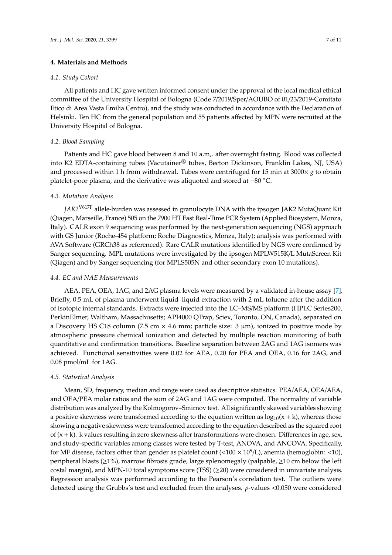## **4. Materials and Methods**

#### *4.1. Study Cohort*

All patients and HC gave written informed consent under the approval of the local medical ethical committee of the University Hospital of Bologna (Code 7/2019/Sper/AOUBO of 01/23/2019-Comitato Etico di Area Vasta Emilia Centro), and the study was conducted in accordance with the Declaration of Helsinki. Ten HC from the general population and 55 patients affected by MPN were recruited at the University Hospital of Bologna.

# *4.2. Blood Sampling*

Patients and HC gave blood between 8 and 10 a.m,. after overnight fasting. Blood was collected into K2 EDTA-containing tubes (Vacutainer® tubes, Becton Dickinson, Franklin Lakes, NJ, USA) and processed within 1 h from withdrawal. Tubes were centrifuged for 15 min at 3000 $\times$  *g* to obtain platelet-poor plasma, and the derivative was aliquoted and stored at −80 ◦C.

# *4.3. Mutation Analysis*

*JAK2*V617F allele-burden was assessed in granulocyte DNA with the ipsogen JAK2 MutaQuant Kit (Qiagen, Marseille, France) 505 on the 7900 HT Fast Real-Time PCR System (Applied Biosystem, Monza, Italy). CALR exon 9 sequencing was performed by the next-generation sequencing (NGS) approach with GS Junior (Roche-454 platform; Roche Diagnostics, Monza, Italy); analysis was performed with AVA Software (GRCh38 as referenced). Rare CALR mutations identified by NGS were confirmed by Sanger sequencing. MPL mutations were investigated by the ipsogen MPLW515K/L MutaScreen Kit (Qiagen) and by Sanger sequencing (for MPLS505N and other secondary exon 10 mutations).

# *4.4. EC and NAE Measurements*

AEA, PEA, OEA, 1AG, and 2AG plasma levels were measured by a validated in-house assay [\[7\]](#page-8-3). Briefly, 0.5 mL of plasma underwent liquid–liquid extraction with 2 mL toluene after the addition of isotopic internal standards. Extracts were injected into the LC–MS/MS platform (HPLC Series200, PerkinElmer, Waltham, Massachusetts; API4000 QTrap, Sciex, Toronto, ON, Canada), separated on a Discovery HS C18 column (7.5 cm  $\times$  4.6 mm; particle size: 3  $\mu$ m), ionized in positive mode by atmospheric pressure chemical ionization and detected by multiple reaction monitoring of both quantitative and confirmation transitions. Baseline separation between 2AG and 1AG isomers was achieved. Functional sensitivities were 0.02 for AEA, 0.20 for PEA and OEA, 0.16 for 2AG, and 0.08 pmol/mL for 1AG.

# *4.5. Statistical Analysis*

Mean, SD, frequency, median and range were used as descriptive statistics. PEA/AEA, OEA/AEA, and OEA/PEA molar ratios and the sum of 2AG and 1AG were computed. The normality of variable distribution was analyzed by the Kolmogorov–Smirnov test. All significantly skewed variables showing a positive skewness were transformed according to the equation written as  $log_{10}(x + k)$ , whereas those showing a negative skewness were transformed according to the equation described as the squared root of  $(x + k)$ . k values resulting in zero skewness after transformations were chosen. Differences in age, sex, and study-specific variables among classes were tested by T-test, ANOVA, and ANCOVA. Specifically, for MF disease, factors other than gender as platelet count (<100  $\times$  10<sup>9</sup>/L), anemia (hemoglobin: <10), peripheral blasts ( $\geq$ 1%), marrow fibrosis grade, large splenomegaly (palpable,  $\geq$ 10 cm below the left costal margin), and MPN-10 total symptoms score (TSS) (≥20) were considered in univariate analysis. Regression analysis was performed according to the Pearson's correlation test. The outliers were detected using the Grubbs's test and excluded from the analyses. *p*-values <0.050 were considered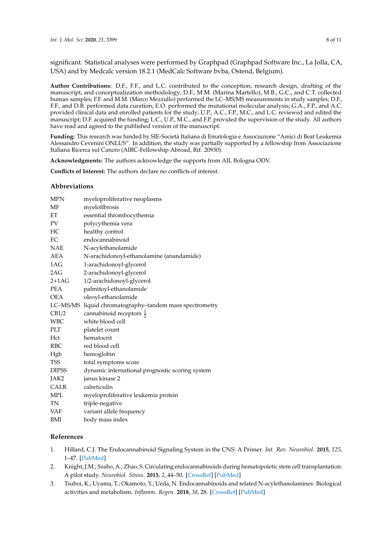significant. Statistical analyses were performed by Graphpad (Graphpad Software Inc., La Jolla, CA, USA) and by Medcalc version 18.2.1 (MedCalc Software bvba, Ostend, Belgium).

**Author Contributions:** D.F., F.F., and L.C. contributed to the conception, research design, drafting of the manuscript, and conceptualization methodology; D.F., M.M. (Marina Martello), M.B., G.C., and C.T. collected human samples; F.F. and M.M. (Marco Mezzullo) performed the LC–MS/MS measurements in study samples; D.F., F.F., and D.B. performed data curation; E.O. performed the mutational molecular analysis; G.A., F.P., and A.C. provided clinical data and enrolled patients for the study; U.P., A.C., F.P., M.C., and L.C. reviewed and edited the manuscript; D.F. acquired the funding; L.C., U.P., M.C., and F.P. provided the supervision of the study. All authors have read and agreed to the published version of the manuscript.

**Funding:** This research was funded by SIE-Società Italiana di Ematologia e Associazione "Amici di Beat Leukemia Alessandro Cevenini ONLUS". In addition, the study was partially supported by a fellowship from Associazione Italiana Ricerca sul Cancro (AIRC-Fellowship Abroad, Rif. 20930).

**Acknowledgments:** The authors acknowledge the supports from AIL Bologna ODV.

**Conflicts of Interest:** The authors declare no conflicts of interest.

# **Abbreviations**

| <b>MPN</b>   | myeloproliferative neoplasms                            |  |  |
|--------------|---------------------------------------------------------|--|--|
| MF           | myelofibrosis                                           |  |  |
| EТ           | essential thrombocythemia                               |  |  |
| PV           | polycythemia vera                                       |  |  |
| HС           | healthy control                                         |  |  |
| EC           | endocannabinoid                                         |  |  |
| NAE          | N-acylethanolamide                                      |  |  |
| AEA          | N-arachidonoyl-ethanolamine (anandamide)                |  |  |
| 1AG          | 1-arachidonoyl-glycerol                                 |  |  |
| 2AG          | 2-arachidonoyl-glycerol                                 |  |  |
| $2+1AG$      | 1/2-arachidonoyl-glycerol                               |  |  |
| <b>PEA</b>   | palmitoyl-ethanolamide                                  |  |  |
| OEA          | oleoyl-ethanolamide                                     |  |  |
|              | LC-MS/MS liquid chromatography-tandem mass spectrometry |  |  |
| CB1/2        | cannabinoid receptors $\frac{1}{2}$                     |  |  |
| <b>WBC</b>   | white blood cell                                        |  |  |
| PLT          | platelet count                                          |  |  |
| Hct          | hematocrit                                              |  |  |
| <b>RBC</b>   | red blood cell                                          |  |  |
| Hgb          | hemoglobin                                              |  |  |
| <b>TSS</b>   | total symptoms score                                    |  |  |
| <b>DIPSS</b> | dynamic international prognostic scoring system         |  |  |
| JAK2         | janus kinase 2                                          |  |  |
| <b>CALR</b>  | calreticulin                                            |  |  |
| <b>MPL</b>   | myeloproliferative leukemia protein                     |  |  |
| TN           | triple-negative                                         |  |  |
| VAF          | variant allele frequency                                |  |  |
| BMI          | body mass index                                         |  |  |

# **References**

- <span id="page-7-0"></span>1. Hillard, C.J. The Endocannabinoid Signaling System in the CNS: A Primer. *Int. Rev. Neurobiol.* **2015**, *125*, 1–47. [\[PubMed\]](http://www.ncbi.nlm.nih.gov/pubmed/26638763)
- <span id="page-7-1"></span>2. Knight, J.M.; Szabo, A.; Zhao, S. Circulating endocannabinoids during hematopoietic stem cell transplantation: A pilot study. *Neurobiol. Stress.* **2015**, *2*, 44–50. [\[CrossRef\]](http://dx.doi.org/10.1016/j.ynstr.2015.05.001) [\[PubMed\]](http://www.ncbi.nlm.nih.gov/pubmed/26114153)
- <span id="page-7-2"></span>3. Tsuboi, K.; Uyama, T.; Okamoto, Y.; Ueda, N. Endocannabinoids and related N-acylethanolamines: Biological activities and metabolism. *Inflamm. Regen.* **2018**, *38*, 28. [\[CrossRef\]](http://dx.doi.org/10.1186/s41232-018-0086-5) [\[PubMed\]](http://www.ncbi.nlm.nih.gov/pubmed/30288203)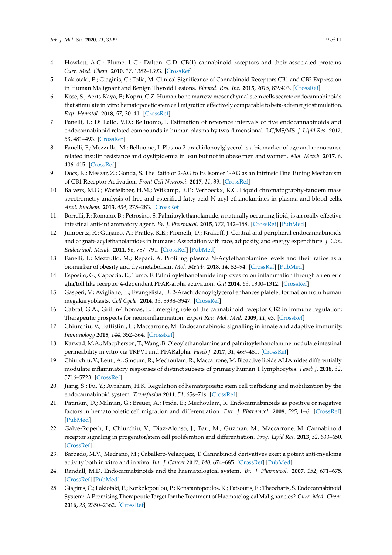- <span id="page-8-0"></span>4. Howlett, A.C.; Blume, L.C.; Dalton, G.D. CB(1) cannabinoid receptors and their associated proteins. *Curr. Med. Chem.* **2010**, *17*, 1382–1393. [\[CrossRef\]](http://dx.doi.org/10.2174/092986710790980023)
- <span id="page-8-1"></span>5. Lakiotaki, E.; Giaginis, C.; Tolia, M. Clinical Significance of Cannabinoid Receptors CB1 and CB2 Expression in Human Malignant and Benign Thyroid Lesions. *Biomed. Res. Int.* **2015**, *2015*, 839403. [\[CrossRef\]](http://dx.doi.org/10.1155/2015/839403)
- <span id="page-8-2"></span>6. Kose, S.; Aerts-Kaya, F.; Kopru, C.Z. Human bone marrow mesenchymal stem cells secrete endocannabinoids that stimulate in vitro hematopoietic stem cell migration effectively comparable to beta-adrenergic stimulation. *Exp. Hematol.* **2018**, *57*, 30–41. [\[CrossRef\]](http://dx.doi.org/10.1016/j.exphem.2017.09.009)
- <span id="page-8-3"></span>7. Fanelli, F.; Di Lallo, V.D.; Belluomo, I. Estimation of reference intervals of five endocannabinoids and endocannabinoid related compounds in human plasma by two dimensional- LC/MS/MS. *J. Lipid Res.* **2012**, *53*, 481–493. [\[CrossRef\]](http://dx.doi.org/10.1194/jlr.M021378)
- <span id="page-8-4"></span>8. Fanelli, F.; Mezzullo, M.; Belluomo, I. Plasma 2-arachidonoylglycerol is a biomarker of age and menopause related insulin resistance and dyslipidemia in lean but not in obese men and women. *Mol. Metab.* **2017**, *6*, 406–415. [\[CrossRef\]](http://dx.doi.org/10.1016/j.molmet.2017.03.005)
- <span id="page-8-5"></span>9. Docs, K.; Meszar, Z.; Gonda, S. The Ratio of 2-AG to Its Isomer 1-AG as an Intrinsic Fine Tuning Mechanism of CB1 Receptor Activation. *Front Cell Neurosci.* **2017**, *11*, 39. [\[CrossRef\]](http://dx.doi.org/10.3389/fncel.2017.00039)
- <span id="page-8-6"></span>10. Balvers, M.G.; Wortelboer, H.M.; Witkamp, R.F.; Verhoeckx, K.C. Liquid chromatography-tandem mass spectrometry analysis of free and esterified fatty acid N-acyl ethanolamines in plasma and blood cells. *Anal. Biochem.* **2013**, *434*, 275–283. [\[CrossRef\]](http://dx.doi.org/10.1016/j.ab.2012.11.008)
- <span id="page-8-7"></span>11. Borrelli, F.; Romano, B.; Petrosino, S. Palmitoylethanolamide, a naturally occurring lipid, is an orally effective intestinal anti-inflammatory agent. *Br. J. Pharmacol.* **2015**, *172*, 142–158. [\[CrossRef\]](http://dx.doi.org/10.1111/bph.12907) [\[PubMed\]](http://www.ncbi.nlm.nih.gov/pubmed/25205418)
- <span id="page-8-8"></span>12. Jumpertz, R.; Guijarro, A.; Pratley, R.E.; Piomelli, D.; Krakoff, J. Central and peripheral endocannabinoids and cognate acylethanolamides in humans: Association with race, adiposity, and energy expenditure. *J. Clin. Endocrinol. Metab.* **2011**, *96*, 787–791. [\[CrossRef\]](http://dx.doi.org/10.1210/jc.2010-2028) [\[PubMed\]](http://www.ncbi.nlm.nih.gov/pubmed/21177788)
- <span id="page-8-9"></span>13. Fanelli, F.; Mezzullo, M.; Repaci, A. Profiling plasma N-Acylethanolamine levels and their ratios as a biomarker of obesity and dysmetabolism. *Mol. Metab.* **2018**, *14*, 82–94. [\[CrossRef\]](http://dx.doi.org/10.1016/j.molmet.2018.06.002) [\[PubMed\]](http://www.ncbi.nlm.nih.gov/pubmed/29935920)
- <span id="page-8-10"></span>14. Esposito, G.; Capoccia, E.; Turco, F. Palmitoylethanolamide improves colon inflammation through an enteric glia/toll like receptor 4-dependent PPAR-alpha activation. *Gut* **2014**, *63*, 1300–1312. [\[CrossRef\]](http://dx.doi.org/10.1136/gutjnl-2013-305005)
- <span id="page-8-11"></span>15. Gasperi, V.; Avigliano, L.; Evangelista, D. 2-Arachidonoylglycerol enhances platelet formation from human megakaryoblasts. *Cell Cycle.* **2014**, *13*, 3938–3947. [\[CrossRef\]](http://dx.doi.org/10.4161/15384101.2014.982941)
- 16. Cabral, G.A.; Griffin-Thomas, L. Emerging role of the cannabinoid receptor CB2 in immune regulation: Therapeutic prospects for neuroinflammation. *Expert Rev. Mol. Med.* **2009**, *11*, e3. [\[CrossRef\]](http://dx.doi.org/10.1017/S1462399409000957)
- <span id="page-8-12"></span>17. Chiurchiu, V.; Battistini, L.; Maccarrone, M. Endocannabinoid signalling in innate and adaptive immunity. *Immunology* **2015**, *144*, 352–364. [\[CrossRef\]](http://dx.doi.org/10.1111/imm.12441)
- <span id="page-8-13"></span>18. Karwad, M.A.; Macpherson, T.; Wang, B. Oleoylethanolamine and palmitoylethanolamine modulate intestinal permeability in vitro via TRPV1 and PPARalpha. *Faseb J.* **2017**, *31*, 469–481. [\[CrossRef\]](http://dx.doi.org/10.1096/fj.201500132)
- <span id="page-8-14"></span>19. Chiurchiu, V.; Leuti, A.; Smoum, R.; Mechoulam, R.; Maccarrone, M. Bioactive lipids ALIAmides differentially modulate inflammatory responses of distinct subsets of primary human T lymphocytes. *Faseb J.* **2018**, *32*, 5716–5723. [\[CrossRef\]](http://dx.doi.org/10.1096/fj.201800107R)
- <span id="page-8-15"></span>20. Jiang, S.; Fu, Y.; Avraham, H.K. Regulation of hematopoietic stem cell trafficking and mobilization by the endocannabinoid system. *Transfusion* **2011**, *51*, 65s–71s. [\[CrossRef\]](http://dx.doi.org/10.1111/j.1537-2995.2011.03368.x)
- 21. Patinkin, D.; Milman, G.; Breuer, A.; Fride, E.; Mechoulam, R. Endocannabinoids as positive or negative factors in hematopoietic cell migration and differentiation. *Eur. J. Pharmacol.* **2008**, *595*, 1–6. [\[CrossRef\]](http://dx.doi.org/10.1016/j.ejphar.2008.05.002) [\[PubMed\]](http://www.ncbi.nlm.nih.gov/pubmed/18778813)
- <span id="page-8-16"></span>22. Galve-Roperh, I.; Chiurchiu, V.; Diaz-Alonso, J.; Bari, M.; Guzman, M.; Maccarrone, M. Cannabinoid receptor signaling in progenitor/stem cell proliferation and differentiation. *Prog. Lipid Res.* **2013**, *52*, 633–650. [\[CrossRef\]](http://dx.doi.org/10.1016/j.plipres.2013.05.004)
- <span id="page-8-17"></span>23. Barbado, M.V.; Medrano, M.; Caballero-Velazquez, T. Cannabinoid derivatives exert a potent anti-myeloma activity both in vitro and in vivo. *Int. J. Cancer* **2017**, *140*, 674–685. [\[CrossRef\]](http://dx.doi.org/10.1002/ijc.30483) [\[PubMed\]](http://www.ncbi.nlm.nih.gov/pubmed/27778331)
- <span id="page-8-18"></span>24. Randall, M.D. Endocannabinoids and the haematological system. *Br. J. Pharmacol.* **2007**, *152*, 671–675. [\[CrossRef\]](http://dx.doi.org/10.1038/sj.bjp.0707420) [\[PubMed\]](http://www.ncbi.nlm.nih.gov/pubmed/17704826)
- <span id="page-8-19"></span>25. Giaginis, C.; Lakiotaki, E.; Korkolopoulou, P.; Konstantopoulos, K.; Patsouris, E.; Theocharis, S. Endocannabinoid System: A Promising Therapeutic Target for the Treatment of Haematological Malignancies? *Curr. Med. Chem.* **2016**, *23*, 2350–2362. [\[CrossRef\]](http://dx.doi.org/10.2174/0929867323666160530144934)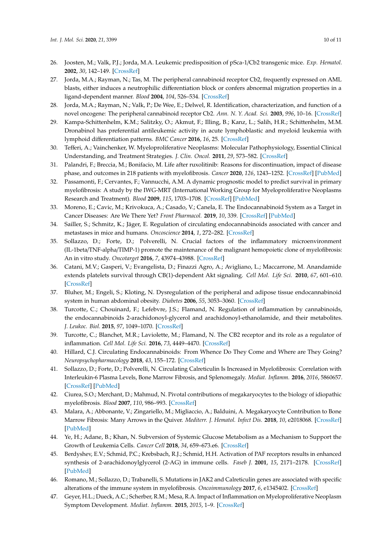- <span id="page-9-0"></span>26. Joosten, M.; Valk, P.J.; Jorda, M.A. Leukemic predisposition of pSca-1/Cb2 transgenic mice. *Exp. Hematol.* **2002**, *30*, 142–149. [\[CrossRef\]](http://dx.doi.org/10.1016/S0301-472X(01)00779-2)
- <span id="page-9-1"></span>27. Jorda, M.A.; Rayman, N.; Tas, M. The peripheral cannabinoid receptor Cb2, frequently expressed on AML blasts, either induces a neutrophilic differentiation block or confers abnormal migration properties in a ligand-dependent manner. *Blood* **2004**, *104*, 526–534. [\[CrossRef\]](http://dx.doi.org/10.1182/blood-2003-12-4357)
- <span id="page-9-2"></span>28. Jorda, M.A.; Rayman, N.; Valk, P.; De Wee, E.; Delwel, R. Identification, characterization, and function of a novel oncogene: The peripheral cannabinoid receptor Cb2. *Ann. N. Y. Acad. Sci.* **2003**, *996*, 10–16. [\[CrossRef\]](http://dx.doi.org/10.1111/j.1749-6632.2003.tb03227.x)
- <span id="page-9-3"></span>29. Kampa-Schittenhelm, K.M.; Salitzky, O.; Akmut, F.; Illing, B.; Kanz, L.; Salih, H.R.; Schittenhelm, M.M. Dronabinol has preferential antileukemic activity in acute lymphoblastic and myeloid leukemia with lymphoid differentiation patterns. *BMC Cancer* **2016**, *16*, 25. [\[CrossRef\]](http://dx.doi.org/10.1186/s12885-015-2029-8)
- <span id="page-9-4"></span>30. Tefferi, A.; Vainchenker, W. Myeloproliferative Neoplasms: Molecular Pathophysiology, Essential Clinical Understanding, and Treatment Strategies. *J. Clin. Oncol.* **2011**, *29*, 573–582. [\[CrossRef\]](http://dx.doi.org/10.1200/JCO.2010.29.8711)
- <span id="page-9-5"></span>31. Palandri, F.; Breccia, M.; Bonifacio, M. Life after ruxolitinib: Reasons for discontinuation, impact of disease phase, and outcomes in 218 patients with myelofibrosis. *Cancer* **2020**, *126*, 1243–1252. [\[CrossRef\]](http://dx.doi.org/10.1002/cncr.32664) [\[PubMed\]](http://www.ncbi.nlm.nih.gov/pubmed/31860137)
- <span id="page-9-6"></span>32. Passamonti, F.; Cervantes, F.; Vannucchi, A.M. A dynamic prognostic model to predict survival in primary myelofibrosis: A study by the IWG-MRT (International Working Group for Myeloproliferative Neoplasms Research and Treatment). *Blood* **2009**, *115*, 1703–1708. [\[CrossRef\]](http://dx.doi.org/10.1182/blood-2009-09-245837) [\[PubMed\]](http://www.ncbi.nlm.nih.gov/pubmed/20008785)
- <span id="page-9-7"></span>33. Moreno, E.; Cavic, M.; Krivokuca, A.; Casado, V.; Canela, E. The Endocannabinoid System as a Target in Cancer Diseases: Are We There Yet? *Front Pharmacol.* **2019**, *10*, 339. [\[CrossRef\]](http://dx.doi.org/10.3389/fphar.2019.00339) [\[PubMed\]](http://www.ncbi.nlm.nih.gov/pubmed/31024307)
- <span id="page-9-8"></span>34. Sailler, S.; Schmitz, K.; Jäger, E. Regulation of circulating endocannabinoids associated with cancer and metastases in mice and humans. *Oncoscience* **2014**, *1*, 272–282. [\[CrossRef\]](http://dx.doi.org/10.18632/oncoscience.33)
- <span id="page-9-9"></span>35. Sollazzo, D.; Forte, D.; Polverelli, N. Crucial factors of the inflammatory microenvironment (IL-1beta/TNF-alpha/TIMP-1) promote the maintenance of the malignant hemopoietic clone of myelofibrosis: An in vitro study. *Oncotarget* **2016**, *7*, 43974–43988. [\[CrossRef\]](http://dx.doi.org/10.18632/oncotarget.9949)
- <span id="page-9-10"></span>36. Catani, M.V.; Gasperi, V.; Evangelista, D.; Finazzi Agro, A.; Avigliano, L.; Maccarrone, M. Anandamide extends platelets survival through CB(1)-dependent Akt signaling. *Cell Mol. Life Sci.* **2010**, *67*, 601–610. [\[CrossRef\]](http://dx.doi.org/10.1007/s00018-009-0198-9)
- <span id="page-9-11"></span>37. Bluher, M.; Engeli, S.; Kloting, N. Dysregulation of the peripheral and adipose tissue endocannabinoid system in human abdominal obesity. *Diabetes* **2006**, *55*, 3053–3060. [\[CrossRef\]](http://dx.doi.org/10.2337/db06-0812)
- 38. Turcotte, C.; Chouinard, F.; Lefebvre, J.S.; Flamand, N. Regulation of inflammation by cannabinoids, the endocannabinoids 2-arachidonoyl-glycerol and arachidonoyl-ethanolamide, and their metabolites. *J. Leukoc. Biol.* **2015**, *97*, 1049–1070. [\[CrossRef\]](http://dx.doi.org/10.1189/jlb.3RU0115-021R)
- <span id="page-9-12"></span>39. Turcotte, C.; Blanchet, M.R.; Laviolette, M.; Flamand, N. The CB2 receptor and its role as a regulator of inflammation. *Cell Mol. Life Sci.* **2016**, *73*, 4449–4470. [\[CrossRef\]](http://dx.doi.org/10.1007/s00018-016-2300-4)
- <span id="page-9-13"></span>40. Hillard, C.J. Circulating Endocannabinoids: From Whence Do They Come and Where are They Going? *Neuropsychopharmacology* **2018**, *43*, 155–172. [\[CrossRef\]](http://dx.doi.org/10.1038/npp.2017.130)
- <span id="page-9-14"></span>41. Sollazzo, D.; Forte, D.; Polverelli, N. Circulating Calreticulin Is Increased in Myelofibrosis: Correlation with Interleukin-6 Plasma Levels, Bone Marrow Fibrosis, and Splenomegaly. *Mediat. Inflamm.* **2016**, *2016*, 5860657. [\[CrossRef\]](http://dx.doi.org/10.1155/2016/5860657) [\[PubMed\]](http://www.ncbi.nlm.nih.gov/pubmed/27672242)
- <span id="page-9-15"></span>42. Ciurea, S.O.; Merchant, D.; Mahmud, N. Pivotal contributions of megakaryocytes to the biology of idiopathic myelofibrosis. *Blood* **2007**, *110*, 986–993. [\[CrossRef\]](http://dx.doi.org/10.1182/blood-2006-12-064626)
- <span id="page-9-16"></span>43. Malara, A.; Abbonante, V.; Zingariello, M.; Migliaccio, A.; Balduini, A. Megakaryocyte Contribution to Bone Marrow Fibrosis: Many Arrows in the Quiver. *Mediterr. J. Hematol. Infect Dis.* **2018**, *10*, e2018068. [\[CrossRef\]](http://dx.doi.org/10.4084/mjhid.2018.068) [\[PubMed\]](http://www.ncbi.nlm.nih.gov/pubmed/30416700)
- <span id="page-9-17"></span>44. Ye, H.; Adane, B.; Khan, N. Subversion of Systemic Glucose Metabolism as a Mechanism to Support the Growth of Leukemia Cells. *Cancer Cell* **2018**, *34*, 659–673.e6. [\[CrossRef\]](http://dx.doi.org/10.1016/j.ccell.2018.08.016)
- <span id="page-9-18"></span>45. Berdyshev, E.V.; Schmid, P.C.; Krebsbach, R.J.; Schmid, H.H. Activation of PAF receptors results in enhanced synthesis of 2-arachidonoylglycerol (2-AG) in immune cells. *Faseb J.* **2001**, *15*, 2171–2178. [\[CrossRef\]](http://dx.doi.org/10.1096/fj.01-0181com) [\[PubMed\]](http://www.ncbi.nlm.nih.gov/pubmed/11641243)
- <span id="page-9-19"></span>46. Romano, M.; Sollazzo, D.; Trabanelli, S. Mutations in JAK2 and Calreticulin genes are associated with specific alterations of the immune system in myelofibrosis. *Oncoimmunology* **2017**, *6*, e1345402. [\[CrossRef\]](http://dx.doi.org/10.1080/2162402X.2017.1345402)
- <span id="page-9-20"></span>47. Geyer, H.L.; Dueck, A.C.; Scherber, R.M.; Mesa, R.A. Impact of Inflammation on Myeloproliferative Neoplasm Symptom Development. *Mediat. Inflamm.* **2015**, *2015*, 1–9. [\[CrossRef\]](http://dx.doi.org/10.1155/2015/284706)